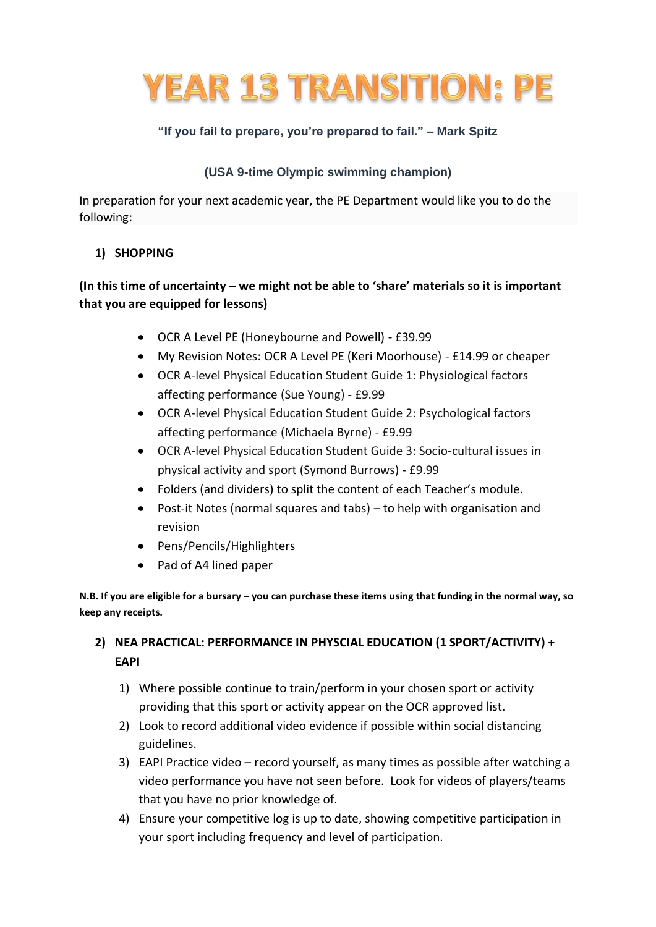

## **"If you fail to prepare, you're prepared to fail." – Mark Spitz**

## **(USA 9-time Olympic swimming champion)**

In preparation for your next academic year, the PE Department would like you to do the following:

#### **1) SHOPPING**

## **(In this time of uncertainty – we might not be able to 'share' materials so it is important that you are equipped for lessons)**

- OCR A Level PE (Honeybourne and Powell) £39.99
- My Revision Notes: OCR A Level PE (Keri Moorhouse) £14.99 or cheaper
- OCR A-level Physical Education Student Guide 1: Physiological factors affecting performance (Sue Young) - £9.99
- OCR A-level Physical Education Student Guide 2: Psychological factors affecting performance (Michaela Byrne) - £9.99
- OCR A-level Physical Education Student Guide 3: Socio-cultural issues in physical activity and sport (Symond Burrows) - £9.99
- Folders (and dividers) to split the content of each Teacher's module.
- Post-it Notes (normal squares and tabs) to help with organisation and revision
- Pens/Pencils/Highlighters
- Pad of A4 lined paper

**N.B. If you are eligible for a bursary – you can purchase these items using that funding in the normal way, so keep any receipts.**

## **2) NEA PRACTICAL: PERFORMANCE IN PHYSCIAL EDUCATION (1 SPORT/ACTIVITY) + EAPI**

- 1) Where possible continue to train/perform in your chosen sport or activity providing that this sport or activity appear on the OCR approved list.
- 2) Look to record additional video evidence if possible within social distancing guidelines.
- 3) EAPI Practice video record yourself, as many times as possible after watching a video performance you have not seen before. Look for videos of players/teams that you have no prior knowledge of.
- 4) Ensure your competitive log is up to date, showing competitive participation in your sport including frequency and level of participation.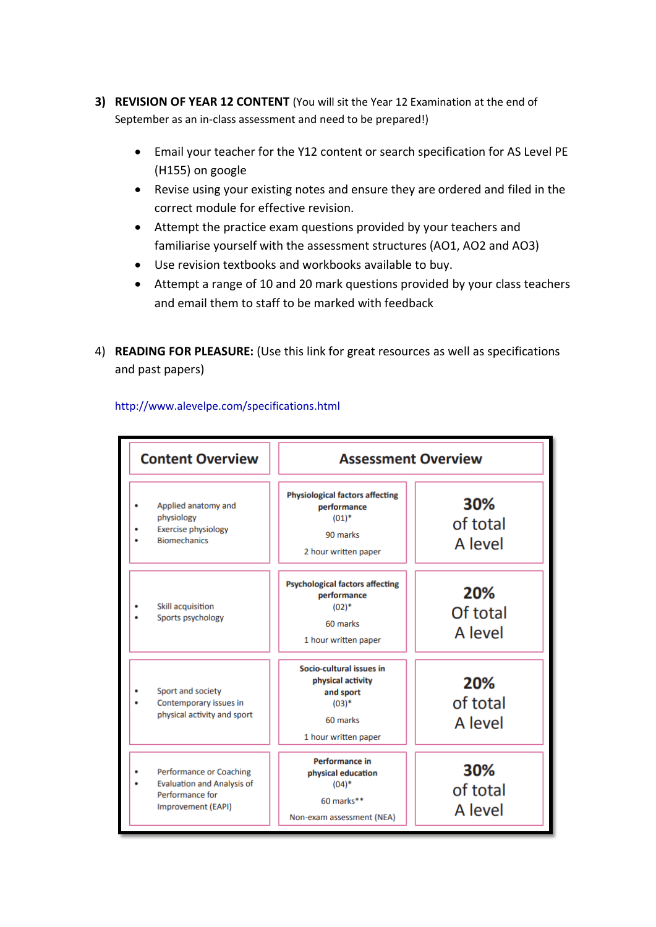- **3) REVISION OF YEAR 12 CONTENT** (You will sit the Year 12 Examination at the end of September as an in-class assessment and need to be prepared!)
	- Email your teacher for the Y12 content or search specification for AS Level PE (H155) on google
	- Revise using your existing notes and ensure they are ordered and filed in the correct module for effective revision.
	- Attempt the practice exam questions provided by your teachers and familiarise yourself with the assessment structures (AO1, AO2 and AO3)
	- Use revision textbooks and workbooks available to buy.
	- Attempt a range of 10 and 20 mark questions provided by your class teachers and email them to staff to be marked with feedback
- 4) **READING FOR PLEASURE:** (Use this link for great resources as well as specifications and past papers)



#### <http://www.alevelpe.com/specifications.html>